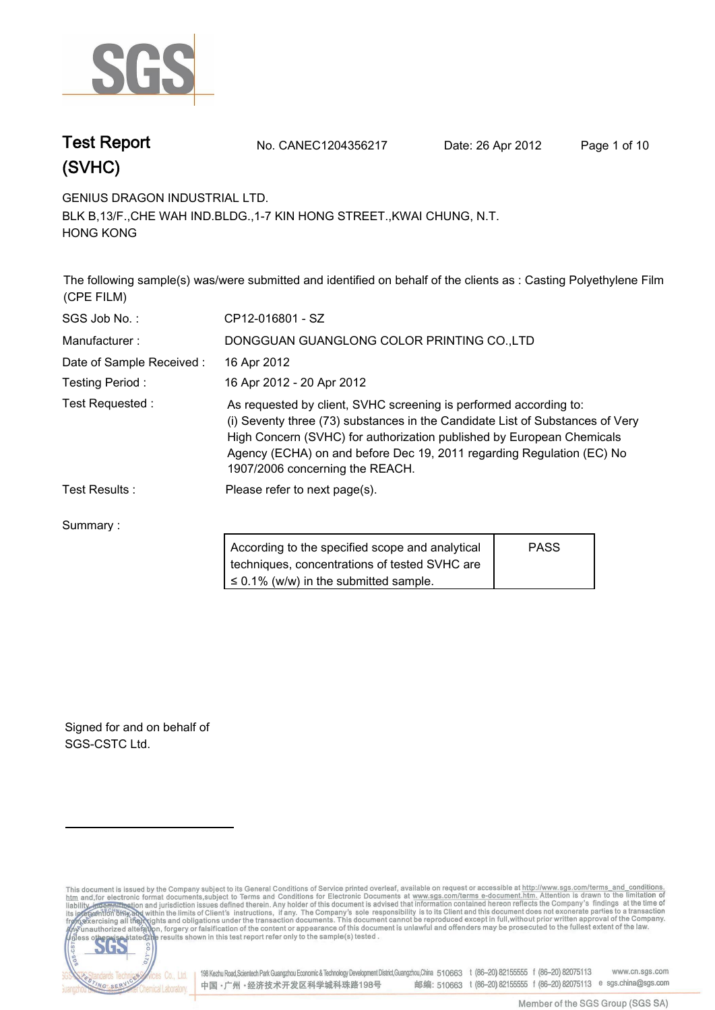

**Test Report. No. CANEC1204356217 Date: 26 Apr 2012. Page 1 of 10.**

**GENIUS DRAGON INDUSTRIAL LTD..**

**BLK B,13/F.,CHE WAH IND.BLDG.,1-7 KIN HONG STREET.,KWAI CHUNG, N.T. HONG KONG.**

**The following sample(s) was/were submitted and identified on behalf of the clients as : Casting Polyethylene Film (CPE FILM).**

| SGS Job No.:             | CP12-016801 - SZ                                                                                                                                                                                                                                                                                                                        |             |  |
|--------------------------|-----------------------------------------------------------------------------------------------------------------------------------------------------------------------------------------------------------------------------------------------------------------------------------------------------------------------------------------|-------------|--|
| Manufacturer:            | DONGGUAN GUANGLONG COLOR PRINTING CO.,LTD                                                                                                                                                                                                                                                                                               |             |  |
| Date of Sample Received: | 16 Apr 2012                                                                                                                                                                                                                                                                                                                             |             |  |
| Testing Period:          | 16 Apr 2012 - 20 Apr 2012                                                                                                                                                                                                                                                                                                               |             |  |
| Test Requested:          | As requested by client, SVHC screening is performed according to:<br>(i) Seventy three (73) substances in the Candidate List of Substances of Very<br>High Concern (SVHC) for authorization published by European Chemicals<br>Agency (ECHA) on and before Dec 19, 2011 regarding Regulation (EC) No<br>1907/2006 concerning the REACH. |             |  |
| Test Results :           | Please refer to next page(s).                                                                                                                                                                                                                                                                                                           |             |  |
| Summary:                 |                                                                                                                                                                                                                                                                                                                                         |             |  |
|                          | According to the specified scope and analytical<br>techniques, concentrations of tested SVHC are                                                                                                                                                                                                                                        | <b>PASS</b> |  |

**≤ 0.1% (w/w) in the submitted sample.**

**Signed for and on behalf of SGS-CSTC Ltd..**

This document is issued by the Company subject to its General Conditions of Service printed overleaf, available on request or accessible at http://www.sgs.com/terms\_and\_conditions.<br>htm\_and, for electronic format documents, co.



198 Kezhu Road, Scientech Park Guangzhou Economic & Technology Development District, Guangzhou, China 510663 t (86-20) 82155555 f (86-20) 82075113 www.cn.sgs.com 邮编: 510663 t (86-20) 82155555 f (86-20) 82075113 e sgs.china@sgs.com 中国·广州·经济技术开发区科学城科珠路198号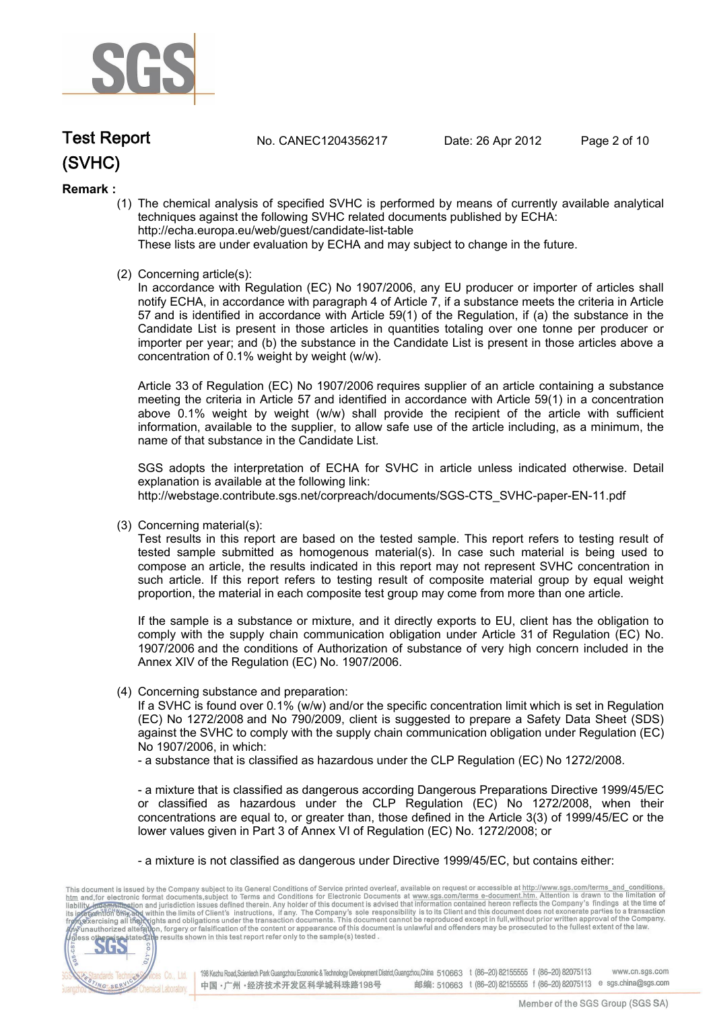

**(SVHC) Test Report. No. CANEC1204356217 Date: 26 Apr 2012. Page 2 of 10.**

### **Remark :**

(1) The chemical analysis of specified SVHC is performed by means of currently available analytical techniques against the following SVHC related documents published by ECHA: http://echa.europa.eu/web/guest/candidate-list-table

These lists are under evaluation by ECHA and may subject to change in the future.

(2) Concerning article(s):

In accordance with Regulation (EC) No 1907/2006, any EU producer or importer of articles shall notify ECHA, in accordance with paragraph 4 of Article 7, if a substance meets the criteria in Article 57 and is identified in accordance with Article 59(1) of the Regulation, if (a) the substance in the Candidate List is present in those articles in quantities totaling over one tonne per producer or importer per year; and (b) the substance in the Candidate List is present in those articles above a concentration of 0.1% weight by weight (w/w).

Article 33 of Regulation (EC) No 1907/2006 requires supplier of an article containing a substance meeting the criteria in Article 57 and identified in accordance with Article 59(1) in a concentration above 0.1% weight by weight (w/w) shall provide the recipient of the article with sufficient information, available to the supplier, to allow safe use of the article including, as a minimum, the name of that substance in the Candidate List.

SGS adopts the interpretation of ECHA for SVHC in article unless indicated otherwise. Detail explanation is available at the following link: http://webstage.contribute.sgs.net/corpreach/documents/SGS-CTS\_SVHC-paper-EN-11.pdf

(3) Concerning material(s):

Test results in this report are based on the tested sample. This report refers to testing result of tested sample submitted as homogenous material(s). In case such material is being used to compose an article, the results indicated in this report may not represent SVHC concentration in such article. If this report refers to testing result of composite material group by equal weight proportion, the material in each composite test group may come from more than one article.

If the sample is a substance or mixture, and it directly exports to EU, client has the obligation to comply with the supply chain communication obligation under Article 31 of Regulation (EC) No. 1907/2006 and the conditions of Authorization of substance of very high concern included in the Annex XIV of the Regulation (EC) No. 1907/2006.

(4) Concerning substance and preparation:

If a SVHC is found over 0.1% (w/w) and/or the specific concentration limit which is set in Regulation (EC) No 1272/2008 and No 790/2009, client is suggested to prepare a Safety Data Sheet (SDS) against the SVHC to comply with the supply chain communication obligation under Regulation (EC) No 1907/2006, in which:

- a substance that is classified as hazardous under the CLP Regulation (EC) No 1272/2008.

- a mixture that is classified as dangerous according Dangerous Preparations Directive 1999/45/EC or classified as hazardous under the CLP Regulation (EC) No 1272/2008, when their concentrations are equal to, or greater than, those defined in the Article 3(3) of 1999/45/EC or the lower values given in Part 3 of Annex VI of Regulation (EC) No. 1272/2008; or

- a mixture is not classified as dangerous under Directive 1999/45/EC, but contains either:

This document is issued by the Company subject to its General Conditions of Service printed overleaf, available on request or accessible at http://www.sgs.com/terms\_and\_conditions.<br>
htm and for electronic format documents, CO.LTD. 565 198 Kezhu Road, Scientech Park Guangzhou Economic & Technology Development District, Guangzhou, China 510663 t (86-20) 82155555 f (86-20) 82075113 **Co., Ltd.** www.cn.sas.com dards Tech 邮编: 510663 t (86-20) 82155555 f (86-20) 82075113 e sgs.china@sgs.com 中国·广州·经济技术开发区科学城科珠路198号 NG SERY Chemical Laboratory.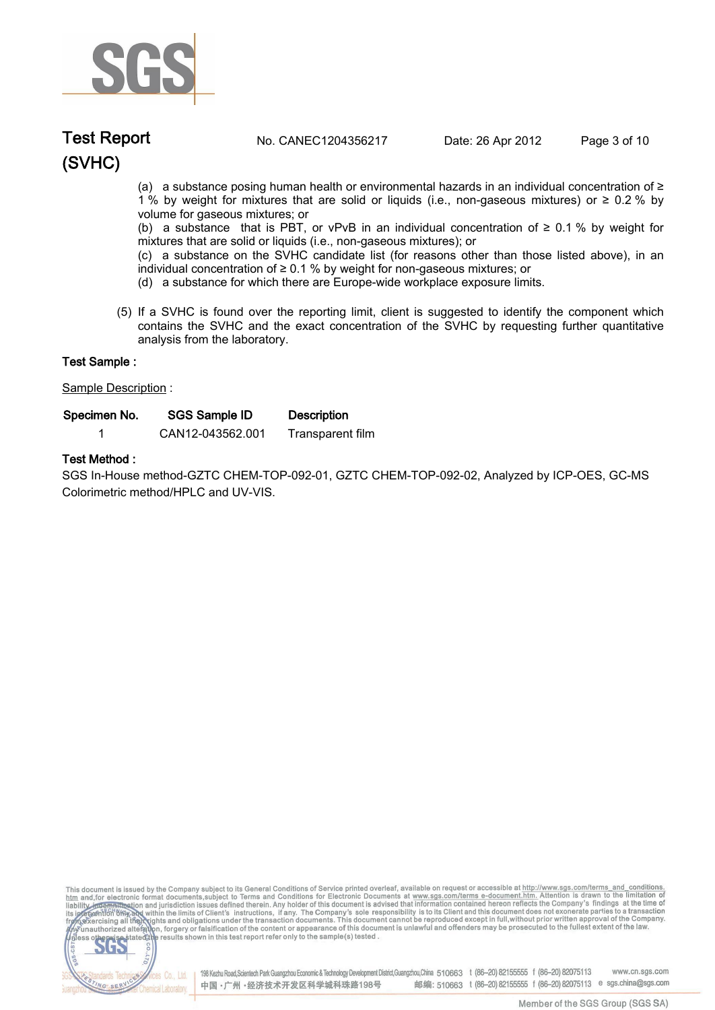

### **(SVHC) Test Report. No. CANEC1204356217 Date: 26 Apr 2012. Page 3 of 10.**

(a) a substance posing human health or environmental hazards in an individual concentration of ≥ 1 % by weight for mixtures that are solid or liquids (i.e., non-gaseous mixtures) or ≥ 0.2 % by volume for gaseous mixtures; or

(b) a substance that is PBT, or vPvB in an individual concentration of  $\geq 0.1$  % by weight for mixtures that are solid or liquids (i.e., non-gaseous mixtures); or

(c) a substance on the SVHC candidate list (for reasons other than those listed above), in an individual concentration of ≥ 0.1 % by weight for non-gaseous mixtures; or

- (d) a substance for which there are Europe-wide workplace exposure limits.
- (5) If a SVHC is found over the reporting limit, client is suggested to identify the component which contains the SVHC and the exact concentration of the SVHC by requesting further quantitative analysis from the laboratory.

| Test Sample :        |                      |                    |  |
|----------------------|----------------------|--------------------|--|
| Sample Description : |                      |                    |  |
| Specimen No.         | <b>SGS Sample ID</b> | <b>Description</b> |  |
|                      | CAN12-043562.001     | Transparent film   |  |

### **Test Method :.**

**SGS In-House method-GZTC CHEM-TOP-092-01, GZTC CHEM-TOP-092-02, Analyzed by ICP-OES, GC-MS Colorimetric method/HPLC and UV-VIS..**

This document is issued by the Company subject to its General Conditions of Service printed overleaf, available on request or accessible at http://www.sgs.com/terms\_and\_conditions.<br>htm\_and, for electronic format documents,



198 Kezhu Road,Scientech Park Guangzhou Economic & Technology Development District,Guangzhou,China 510663 t (86-20) 82155555 f (86-20) 82075113 www.cn.sgs.com 邮编: 510663 t (86-20) 82155555 f (86-20) 82075113 e sgs.china@sgs.com 中国·广州·经济技术开发区科学城科珠路198号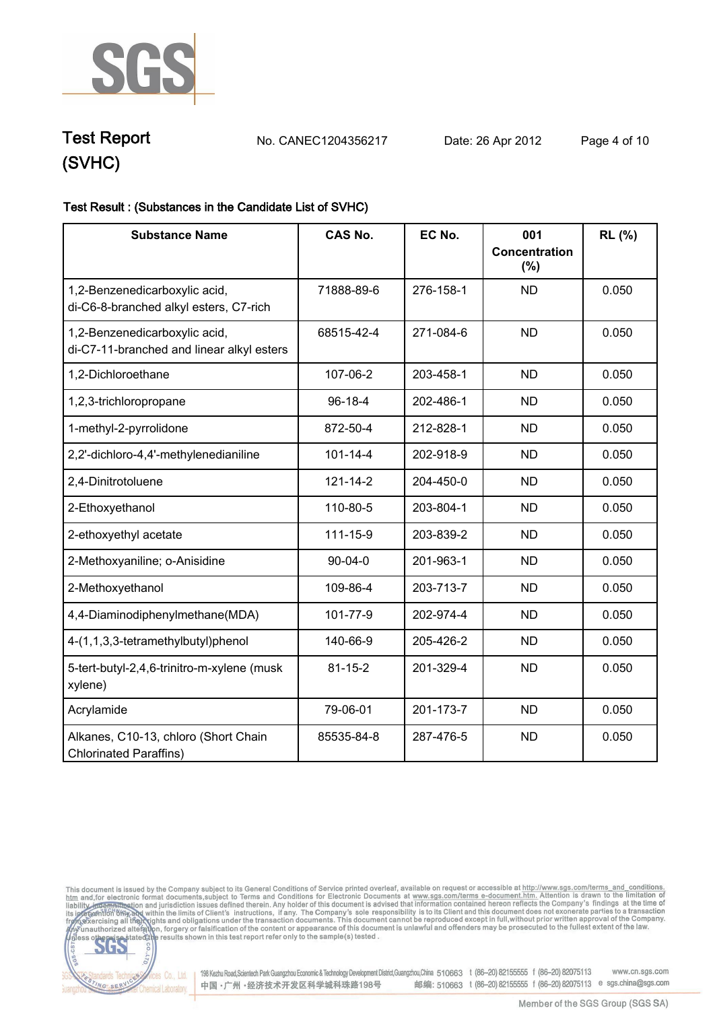

**Test Report. No. CANEC1204356217 Date: 26 Apr 2012. Page 4 of 10.**

### **Test Result : (Substances in the Candidate List of SVHC).**

| <b>Substance Name</b>                                                      | <b>CAS No.</b> | EC No.    | 001<br><b>Concentration</b><br>$(\%)$ | RL (%) |
|----------------------------------------------------------------------------|----------------|-----------|---------------------------------------|--------|
| 1,2-Benzenedicarboxylic acid,<br>di-C6-8-branched alkyl esters, C7-rich    | 71888-89-6     | 276-158-1 | <b>ND</b>                             | 0.050  |
| 1,2-Benzenedicarboxylic acid,<br>di-C7-11-branched and linear alkyl esters | 68515-42-4     | 271-084-6 | <b>ND</b>                             | 0.050  |
| 1,2-Dichloroethane                                                         | 107-06-2       | 203-458-1 | <b>ND</b>                             | 0.050  |
| 1,2,3-trichloropropane                                                     | $96 - 18 - 4$  | 202-486-1 | <b>ND</b>                             | 0.050  |
| 1-methyl-2-pyrrolidone                                                     | 872-50-4       | 212-828-1 | <b>ND</b>                             | 0.050  |
| 2,2'-dichloro-4,4'-methylenedianiline                                      | $101 - 14 - 4$ | 202-918-9 | <b>ND</b>                             | 0.050  |
| 2,4-Dinitrotoluene                                                         | 121-14-2       | 204-450-0 | <b>ND</b>                             | 0.050  |
| 2-Ethoxyethanol                                                            | 110-80-5       | 203-804-1 | <b>ND</b>                             | 0.050  |
| 2-ethoxyethyl acetate                                                      | 111-15-9       | 203-839-2 | <b>ND</b>                             | 0.050  |
| 2-Methoxyaniline; o-Anisidine                                              | $90 - 04 - 0$  | 201-963-1 | <b>ND</b>                             | 0.050  |
| 2-Methoxyethanol                                                           | 109-86-4       | 203-713-7 | <b>ND</b>                             | 0.050  |
| 4,4-Diaminodiphenylmethane(MDA)                                            | 101-77-9       | 202-974-4 | <b>ND</b>                             | 0.050  |
| 4-(1,1,3,3-tetramethylbutyl)phenol                                         | 140-66-9       | 205-426-2 | <b>ND</b>                             | 0.050  |
| 5-tert-butyl-2,4,6-trinitro-m-xylene (musk<br>xylene)                      | $81 - 15 - 2$  | 201-329-4 | <b>ND</b>                             | 0.050  |
| Acrylamide                                                                 | 79-06-01       | 201-173-7 | <b>ND</b>                             | 0.050  |
| Alkanes, C10-13, chloro (Short Chain<br><b>Chlorinated Paraffins)</b>      | 85535-84-8     | 287-476-5 | <b>ND</b>                             | 0.050  |

This document is issued by the Company subject to its General Conditions of Service printed overleaf, available on request or accessible at http://www.sgs.com/terms\_and\_conditions.<br>htm\_and,for electronic format documents,



Electric Co., Ltd. 198 Kezhu Road, Scientech Park Guangzhou Economic & Technology Development District, Guangzhou, China 510663 t (86-20) 82155555 f (86-20) 82075113 www.cn.sgs.com 邮编: 510663 t (86-20) 82155555 f (86-20) 82075113 e sgs.china@sgs.com 中国·广州·经济技术开发区科学城科珠路198号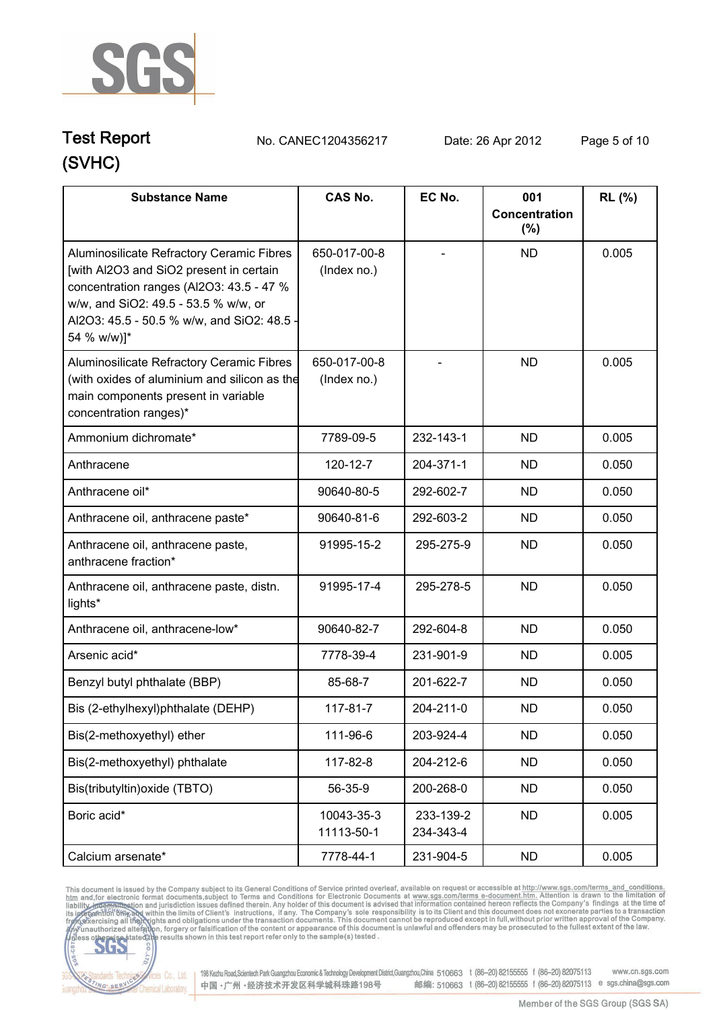

**Test Report. No. CANEC1204356217 Date: 26 Apr 2012. Page 5 of 10.**

| <b>Substance Name</b>                                                                                                                                                                                                                 | <b>CAS No.</b>              | EC No.                 | 001<br>Concentration<br>$(\%)$ | RL (%) |
|---------------------------------------------------------------------------------------------------------------------------------------------------------------------------------------------------------------------------------------|-----------------------------|------------------------|--------------------------------|--------|
| Aluminosilicate Refractory Ceramic Fibres<br>[with Al2O3 and SiO2 present in certain<br>concentration ranges (Al2O3: 43.5 - 47 %<br>w/w, and SiO2: 49.5 - 53.5 % w/w, or<br>Al2O3: 45.5 - 50.5 % w/w, and SiO2: 48.5 -<br>54 % w/w)]* | 650-017-00-8<br>(Index no.) |                        | <b>ND</b>                      | 0.005  |
| Aluminosilicate Refractory Ceramic Fibres<br>(with oxides of aluminium and silicon as the<br>main components present in variable<br>concentration ranges)*                                                                            | 650-017-00-8<br>(Index no.) |                        | <b>ND</b>                      | 0.005  |
| Ammonium dichromate*                                                                                                                                                                                                                  | 7789-09-5                   | 232-143-1              | <b>ND</b>                      | 0.005  |
| Anthracene                                                                                                                                                                                                                            | 120-12-7                    | 204-371-1              | <b>ND</b>                      | 0.050  |
| Anthracene oil*                                                                                                                                                                                                                       | 90640-80-5                  | 292-602-7              | <b>ND</b>                      | 0.050  |
| Anthracene oil, anthracene paste*                                                                                                                                                                                                     | 90640-81-6                  | 292-603-2              | <b>ND</b>                      | 0.050  |
| Anthracene oil, anthracene paste,<br>anthracene fraction*                                                                                                                                                                             | 91995-15-2                  | 295-275-9              | <b>ND</b>                      | 0.050  |
| Anthracene oil, anthracene paste, distn.<br>lights*                                                                                                                                                                                   | 91995-17-4                  | 295-278-5              | <b>ND</b>                      | 0.050  |
| Anthracene oil, anthracene-low*                                                                                                                                                                                                       | 90640-82-7                  | 292-604-8              | <b>ND</b>                      | 0.050  |
| Arsenic acid*                                                                                                                                                                                                                         | 7778-39-4                   | 231-901-9              | <b>ND</b>                      | 0.005  |
| Benzyl butyl phthalate (BBP)                                                                                                                                                                                                          | 85-68-7                     | 201-622-7              | <b>ND</b>                      | 0.050  |
| Bis (2-ethylhexyl)phthalate (DEHP)                                                                                                                                                                                                    | 117-81-7                    | 204-211-0              | <b>ND</b>                      | 0.050  |
| Bis(2-methoxyethyl) ether                                                                                                                                                                                                             | 111-96-6                    | 203-924-4              | <b>ND</b>                      | 0.050  |
| Bis(2-methoxyethyl) phthalate                                                                                                                                                                                                         | 117-82-8                    | 204-212-6              | <b>ND</b>                      | 0.050  |
| Bis(tributyltin) oxide (TBTO)                                                                                                                                                                                                         | 56-35-9                     | 200-268-0              | <b>ND</b>                      | 0.050  |
| Boric acid*                                                                                                                                                                                                                           | 10043-35-3<br>11113-50-1    | 233-139-2<br>234-343-4 | <b>ND</b>                      | 0.005  |
| Calcium arsenate*                                                                                                                                                                                                                     | 7778-44-1                   | 231-904-5              | <b>ND</b>                      | 0.005  |

This document is issued by the Company subject to its General Conditions of Service printed overleaf, available on request or accessible at http://www.sgs.com/terms. and\_conditions.<br>htm and, for electronic format document



Vices Co., Ltd. | 198 Kezhu Road,Scientech Park Guangzhou Economic & Technology Development District, Guangzhou, China 510663 t (86-20) 82155555 f (86-20) 82075113 www.cn.sgs.com 邮编: 510663 t (86-20) 82155555 f (86-20) 82075113 e sgs.china@sgs.com 中国·广州·经济技术开发区科学城科珠路198号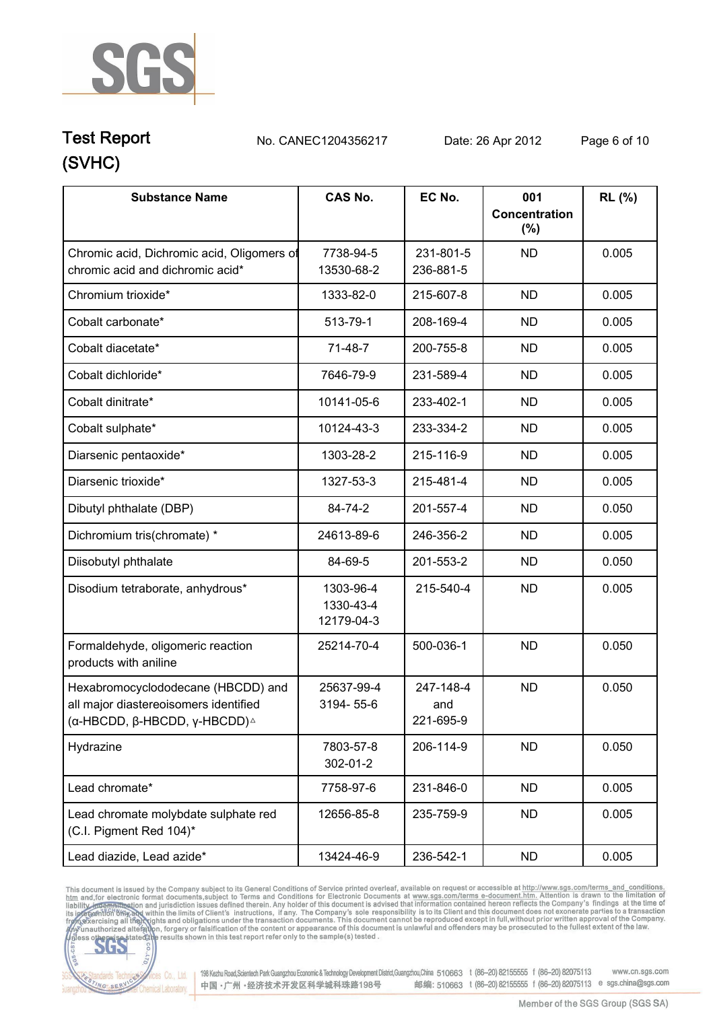

**Test Report. No. CANEC1204356217 Date: 26 Apr 2012. Page 6 of 10.**

| <b>Substance Name</b>                                                                                                        | <b>CAS No.</b>                       | EC No.                        | 001<br>Concentration | <b>RL</b> (%) |
|------------------------------------------------------------------------------------------------------------------------------|--------------------------------------|-------------------------------|----------------------|---------------|
|                                                                                                                              |                                      |                               | $(\% )$              |               |
| Chromic acid, Dichromic acid, Oligomers of<br>chromic acid and dichromic acid*                                               | 7738-94-5<br>13530-68-2              | 231-801-5<br>236-881-5        | <b>ND</b>            | 0.005         |
| Chromium trioxide*                                                                                                           | 1333-82-0                            | 215-607-8                     | <b>ND</b>            | 0.005         |
| Cobalt carbonate*                                                                                                            | 513-79-1                             | 208-169-4                     | <b>ND</b>            | 0.005         |
| Cobalt diacetate*                                                                                                            | 71-48-7                              | 200-755-8                     | <b>ND</b>            | 0.005         |
| Cobalt dichloride*                                                                                                           | 7646-79-9                            | 231-589-4                     | <b>ND</b>            | 0.005         |
| Cobalt dinitrate*                                                                                                            | 10141-05-6                           | 233-402-1                     | <b>ND</b>            | 0.005         |
| Cobalt sulphate*                                                                                                             | 10124-43-3                           | 233-334-2                     | <b>ND</b>            | 0.005         |
| Diarsenic pentaoxide*                                                                                                        | 1303-28-2                            | 215-116-9                     | <b>ND</b>            | 0.005         |
| Diarsenic trioxide*                                                                                                          | 1327-53-3                            | 215-481-4                     | <b>ND</b>            | 0.005         |
| Dibutyl phthalate (DBP)                                                                                                      | 84-74-2                              | 201-557-4                     | <b>ND</b>            | 0.050         |
| Dichromium tris(chromate) *                                                                                                  | 24613-89-6                           | 246-356-2                     | <b>ND</b>            | 0.005         |
| Diisobutyl phthalate                                                                                                         | 84-69-5                              | 201-553-2                     | <b>ND</b>            | 0.050         |
| Disodium tetraborate, anhydrous*                                                                                             | 1303-96-4<br>1330-43-4<br>12179-04-3 | 215-540-4                     | <b>ND</b>            | 0.005         |
| Formaldehyde, oligomeric reaction<br>products with aniline                                                                   | 25214-70-4                           | 500-036-1                     | <b>ND</b>            | 0.050         |
| Hexabromocyclododecane (HBCDD) and<br>all major diastereoisomers identified<br>(α-HBCDD, β-HBCDD, γ-HBCDD) $^{\vartriangle}$ | 25637-99-4<br>3194-55-6              | 247-148-4<br>and<br>221-695-9 | <b>ND</b>            | 0.050         |
| Hydrazine                                                                                                                    | 7803-57-8<br>302-01-2                | 206-114-9                     | <b>ND</b>            | 0.050         |
| Lead chromate*                                                                                                               | 7758-97-6                            | 231-846-0                     | <b>ND</b>            | 0.005         |
| Lead chromate molybdate sulphate red<br>(C.I. Pigment Red 104)*                                                              | 12656-85-8                           | 235-759-9                     | <b>ND</b>            | 0.005         |
| Lead diazide, Lead azide*                                                                                                    | 13424-46-9                           | 236-542-1                     | <b>ND</b>            | 0.005         |

This document is issued by the Company subject to its General Conditions of Service printed overleaf, available on request or accessible at http://www.sgs.com/terms. and\_conditions.<br>htm and, for electronic format document



198 Kezhu Road, Scientech Park Guangzhou Economic & Technology Development District, Guangzhou, China 510663 t (86-20) 82155555 f (86-20) 82075113 www.cn.sgs.com 邮编: 510663 t (86-20) 82155555 f (86-20) 82075113 e sgs.china@sgs.com 中国·广州·经济技术开发区科学城科珠路198号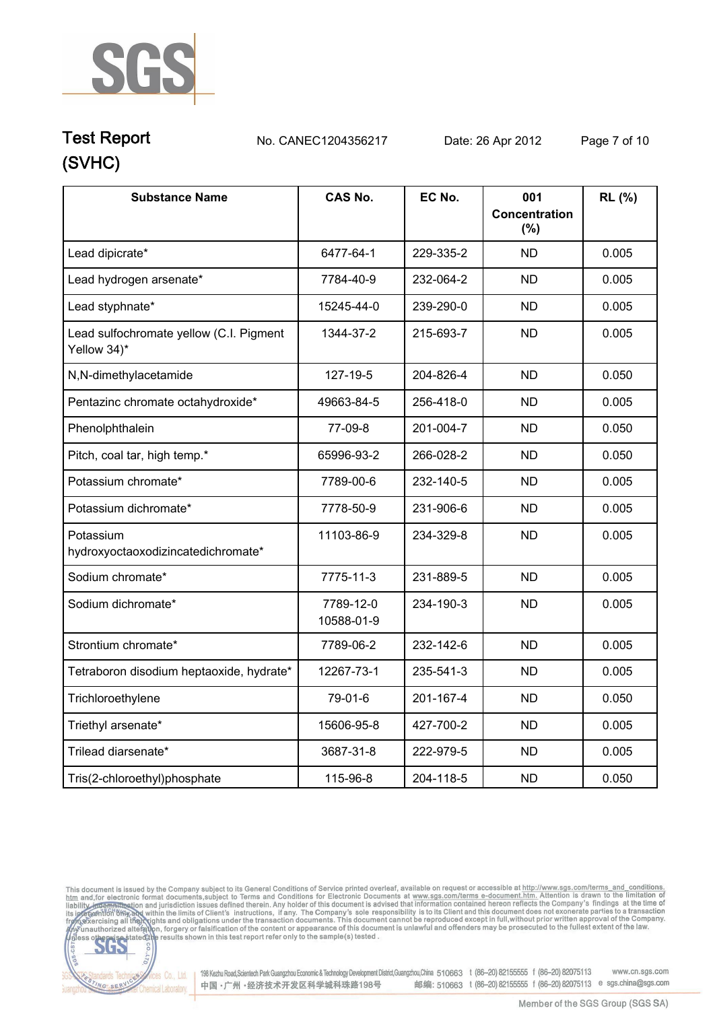

### **(SVHC) Test Report. No. CANEC1204356217 Date: 26 Apr 2012. Page 7 of 10.**

| <b>Substance Name</b>                                  | <b>CAS No.</b>          | EC No.    | 001<br>Concentration<br>(%) | RL (%) |
|--------------------------------------------------------|-------------------------|-----------|-----------------------------|--------|
| Lead dipicrate*                                        | 6477-64-1               | 229-335-2 | <b>ND</b>                   | 0.005  |
| Lead hydrogen arsenate*                                | 7784-40-9               | 232-064-2 | <b>ND</b>                   | 0.005  |
| Lead styphnate*                                        | 15245-44-0              | 239-290-0 | <b>ND</b>                   | 0.005  |
| Lead sulfochromate yellow (C.I. Pigment<br>Yellow 34)* | 1344-37-2               | 215-693-7 | <b>ND</b>                   | 0.005  |
| N,N-dimethylacetamide                                  | 127-19-5                | 204-826-4 | <b>ND</b>                   | 0.050  |
| Pentazinc chromate octahydroxide*                      | 49663-84-5              | 256-418-0 | <b>ND</b>                   | 0.005  |
| Phenolphthalein                                        | 77-09-8                 | 201-004-7 | <b>ND</b>                   | 0.050  |
| Pitch, coal tar, high temp.*                           | 65996-93-2              | 266-028-2 | <b>ND</b>                   | 0.050  |
| Potassium chromate*                                    | 7789-00-6               | 232-140-5 | <b>ND</b>                   | 0.005  |
| Potassium dichromate*                                  | 7778-50-9               | 231-906-6 | <b>ND</b>                   | 0.005  |
| Potassium<br>hydroxyoctaoxodizincatedichromate*        | 11103-86-9              | 234-329-8 | <b>ND</b>                   | 0.005  |
| Sodium chromate*                                       | 7775-11-3               | 231-889-5 | <b>ND</b>                   | 0.005  |
| Sodium dichromate*                                     | 7789-12-0<br>10588-01-9 | 234-190-3 | <b>ND</b>                   | 0.005  |
| Strontium chromate*                                    | 7789-06-2               | 232-142-6 | <b>ND</b>                   | 0.005  |
| Tetraboron disodium heptaoxide, hydrate*               | 12267-73-1              | 235-541-3 | <b>ND</b>                   | 0.005  |
| Trichloroethylene                                      | 79-01-6                 | 201-167-4 | <b>ND</b>                   | 0.050  |
| Triethyl arsenate*                                     | 15606-95-8              | 427-700-2 | <b>ND</b>                   | 0.005  |
| Trilead diarsenate*                                    | 3687-31-8               | 222-979-5 | <b>ND</b>                   | 0.005  |
| Tris(2-chloroethyl)phosphate                           | 115-96-8                | 204-118-5 | <b>ND</b>                   | 0.050  |

This document is issued by the Company subject to its General Conditions of Service printed overleaf, available on request or accessible at http://www.sgs.com/terms\_and\_conditions.<br>htm\_and,for electronic format documents,



onces Co., Ltd. | 198 Kezhu Road, Scientech Park Guangzhou Economic & Technology Development District, Guangzhou, China 510663 t (86-20) 82155555 f (86-20) 82075113 www.cn.sgs.com 邮编: 510663 t (86-20) 82155555 f (86-20) 82075113 e sgs.china@sgs.com 中国·广州·经济技术开发区科学城科珠路198号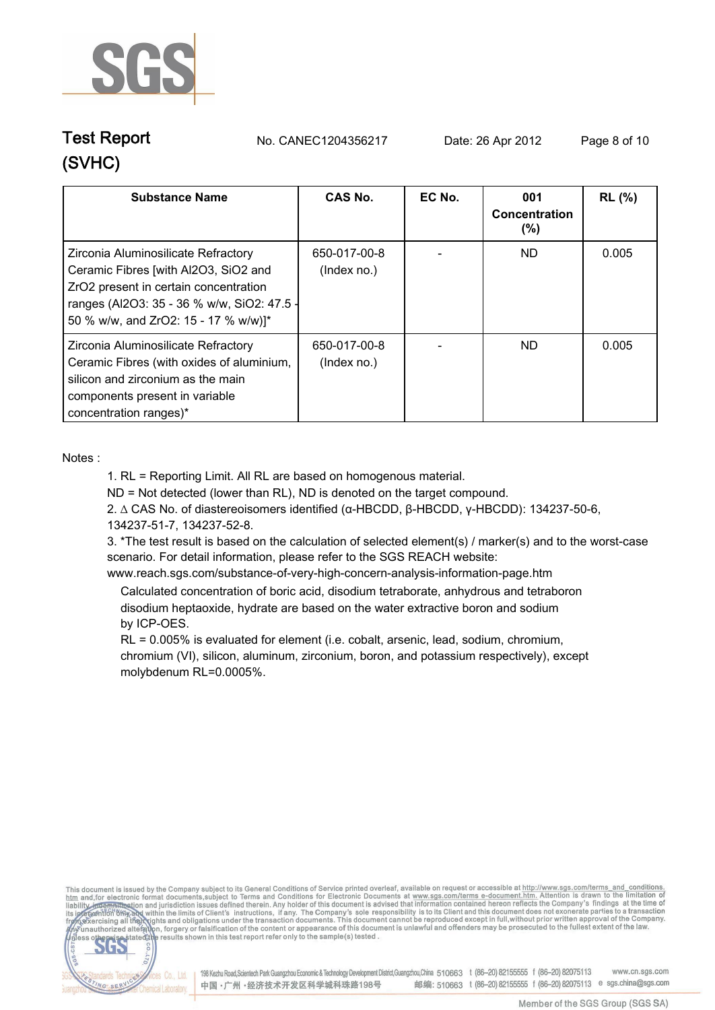

**Test Report. No. CANEC1204356217 Date: 26 Apr 2012. Page 8 of 10.**

| <b>Substance Name</b>                                                                                                                                                                                      | CAS No.                     | EC No. | 001<br>Concentration<br>$(\% )$ | <b>RL</b> (%) |
|------------------------------------------------------------------------------------------------------------------------------------------------------------------------------------------------------------|-----------------------------|--------|---------------------------------|---------------|
| Zirconia Aluminosilicate Refractory<br>Ceramic Fibres [with Al2O3, SiO2 and<br>ZrO2 present in certain concentration<br>ranges (Al2O3: 35 - 36 % w/w, SiO2: 47.5 -<br>50 % w/w, and ZrO2: 15 - 17 % w/w)]* | 650-017-00-8<br>(Index no.) |        | ND.                             | 0.005         |
| Zirconia Aluminosilicate Refractory<br>Ceramic Fibres (with oxides of aluminium,<br>silicon and zirconium as the main<br>components present in variable<br>concentration ranges)*                          | 650-017-00-8<br>(Index no.) |        | ND.                             | 0.005         |

**Notes :.**

**NG SER** 

**1. RL = Reporting Limit. All RL are based on homogenous material.**

**ND = Not detected (lower than RL), ND is denoted on the target compound.**

**2. ∆ CAS No. of diastereoisomers identified (α-HBCDD, β-HBCDD, γ-HBCDD): 134237-50-6, 134237-51-7, 134237-52-8.**

**3. \*The test result is based on the calculation of selected element(s) / marker(s) and to the worst-case scenario. For detail information, please refer to the SGS REACH website:** 

**www.reach.sgs.com/substance-of-very-high-concern-analysis-information-page.htm. Calculated concentration of boric acid, disodium tetraborate, anhydrous and tetraboron**

 **disodium heptaoxide, hydrate are based on the water extractive boron and sodium by ICP-OES.**

 **RL = 0.005% is evaluated for element (i.e. cobalt, arsenic, lead, sodium, chromium, chromium (VI), silicon, aluminum, zirconium, boron, and potassium respectively), except molybdenum RL=0.0005%..**

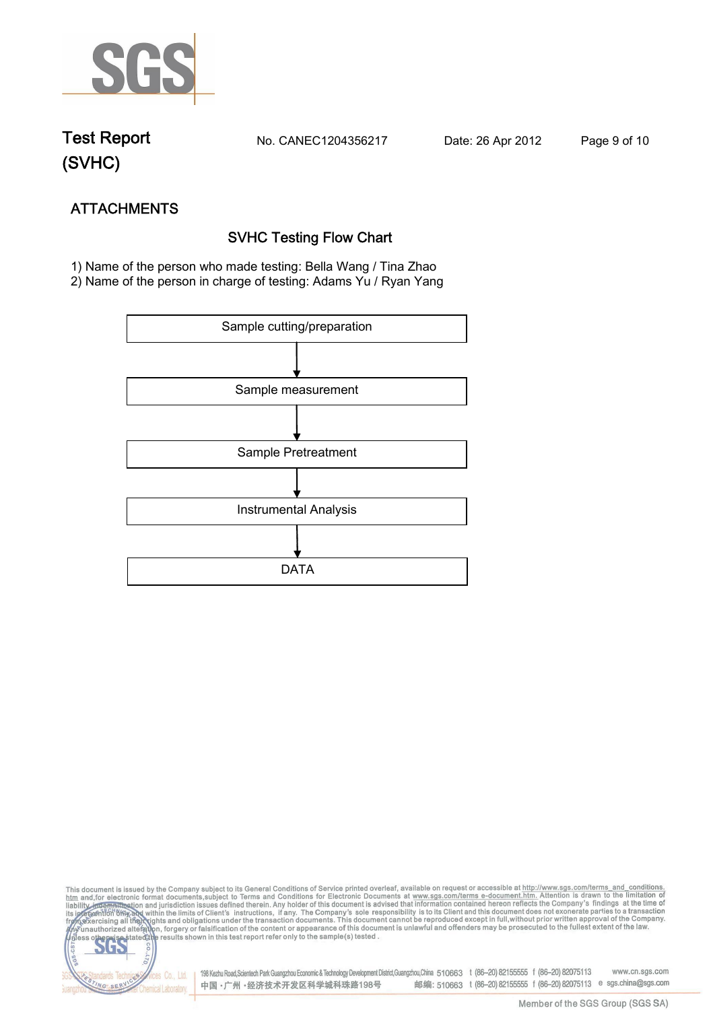

**Test Report. No. CANEC1204356217 Date: 26 Apr 2012. Page 9 of 10.**

NG SERY

**ATTACHMENTS SVHC Testing Flow Chart 1)** Name of the person who made testing: **Bella Wang / Tina Zhao**

**2)** Name of the person in charge of testing: **Adams Yu / Ryan Yang**



This document is issued by the Company subject to its General Conditions of Service printed overleaf, available on request or accessible at http://www.sgs.com/terms\_and\_conditions.<br>htm\_and,for electronic format documents,s S 198 Kezhu Road,Scientech Park Guangzhou Economic & Technology Development District,Guangzhou,China 510663 t (86-20) 82155555 f (86-20) 82075113 www.cn.sgs.com dards Te fices Co., Ltd.

中国·广州·经济技术开发区科学城科珠路198号

邮编: 510663 t (86-20) 82155555 f (86-20) 82075113 e sgs.china@sgs.com